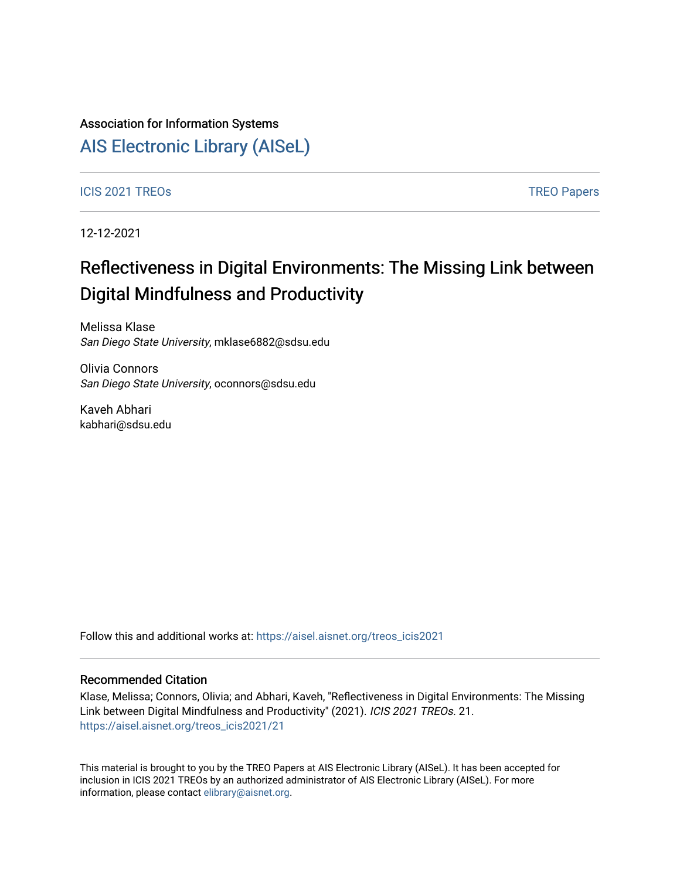### Association for Information Systems

# [AIS Electronic Library \(AISeL\)](https://aisel.aisnet.org/)

### ICIS 2021 TREOS Notes that the contract of the contract of the contract of the contract of the contract of the contract of the contract of the contract of the contract of the contract of the contract of the contract of the

12-12-2021

# Reflectiveness in Digital Environments: The Missing Link between Digital Mindfulness and Productivity

Melissa Klase San Diego State University, mklase6882@sdsu.edu

Olivia Connors San Diego State University, oconnors@sdsu.edu

Kaveh Abhari kabhari@sdsu.edu

Follow this and additional works at: [https://aisel.aisnet.org/treos\\_icis2021](https://aisel.aisnet.org/treos_icis2021?utm_source=aisel.aisnet.org%2Ftreos_icis2021%2F21&utm_medium=PDF&utm_campaign=PDFCoverPages) 

### Recommended Citation

Klase, Melissa; Connors, Olivia; and Abhari, Kaveh, "Reflectiveness in Digital Environments: The Missing Link between Digital Mindfulness and Productivity" (2021). ICIS 2021 TREOs. 21. [https://aisel.aisnet.org/treos\\_icis2021/21](https://aisel.aisnet.org/treos_icis2021/21?utm_source=aisel.aisnet.org%2Ftreos_icis2021%2F21&utm_medium=PDF&utm_campaign=PDFCoverPages) 

This material is brought to you by the TREO Papers at AIS Electronic Library (AISeL). It has been accepted for inclusion in ICIS 2021 TREOs by an authorized administrator of AIS Electronic Library (AISeL). For more information, please contact [elibrary@aisnet.org.](mailto:elibrary@aisnet.org%3E)